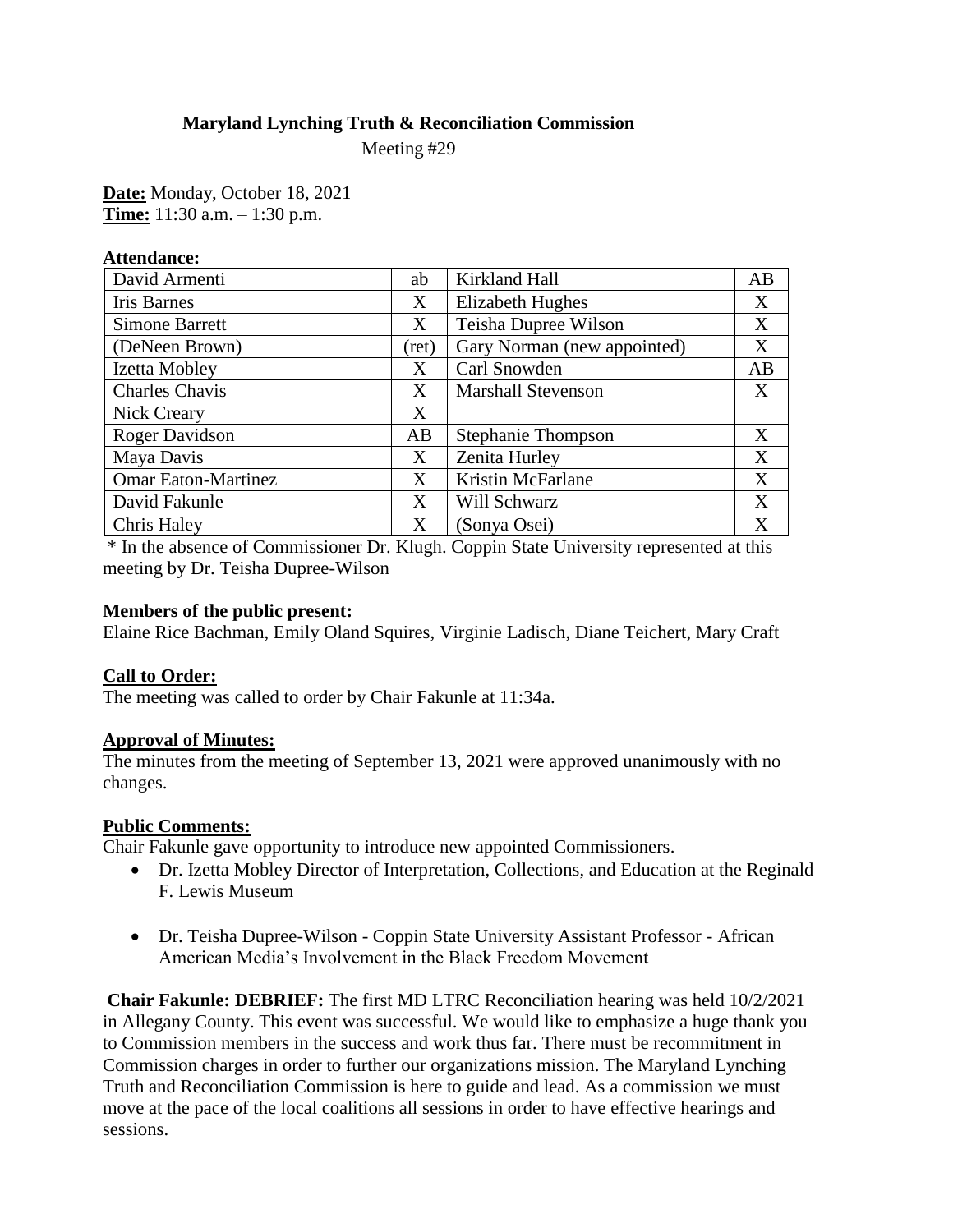#### **Maryland Lynching Truth & Reconciliation Commission**

Meeting #29

**Date:** Monday, October 18, 2021 **Time:** 11:30 a.m. – 1:30 p.m.

| <b>Attendance:</b>         |       |                             |    |
|----------------------------|-------|-----------------------------|----|
| David Armenti              | ab    | Kirkland Hall               | AB |
| <b>Iris Barnes</b>         | Χ     | <b>Elizabeth Hughes</b>     | X  |
| <b>Simone Barrett</b>      | X     | Teisha Dupree Wilson        | X  |
| (DeNeen Brown)             | (ret) | Gary Norman (new appointed) | X  |
| Izetta Mobley              | X     | Carl Snowden                | AB |
| <b>Charles Chavis</b>      | X     | <b>Marshall Stevenson</b>   | X  |
| Nick Creary                | Χ     |                             |    |
| Roger Davidson             | AB    | <b>Stephanie Thompson</b>   | X  |
| Maya Davis                 | X     | Zenita Hurley               | X  |
| <b>Omar Eaton-Martinez</b> | X     | Kristin McFarlane           | X  |
| David Fakunle              | X     | <b>Will Schwarz</b>         | X  |
| Chris Haley                | X     | (Sonya Osei)                | X  |

\* In the absence of Commissioner Dr. Klugh. Coppin State University represented at this meeting by Dr. Teisha Dupree-Wilson

#### **Members of the public present:**

Elaine Rice Bachman, Emily Oland Squires, Virginie Ladisch, Diane Teichert, Mary Craft

# **Call to Order:**

The meeting was called to order by Chair Fakunle at 11:34a.

#### **Approval of Minutes:**

The minutes from the meeting of September 13, 2021 were approved unanimously with no changes.

# **Public Comments:**

Chair Fakunle gave opportunity to introduce new appointed Commissioners.

- Dr. Izetta Mobley Director of Interpretation, Collections, and Education at the Reginald F. Lewis Museum
- Dr. Teisha Dupree-Wilson Coppin State University Assistant Professor African American Media's Involvement in the Black Freedom Movement

**Chair Fakunle: DEBRIEF:** The first MD LTRC Reconciliation hearing was held 10/2/2021 in Allegany County. This event was successful. We would like to emphasize a huge thank you to Commission members in the success and work thus far. There must be recommitment in Commission charges in order to further our organizations mission. The Maryland Lynching Truth and Reconciliation Commission is here to guide and lead. As a commission we must move at the pace of the local coalitions all sessions in order to have effective hearings and sessions.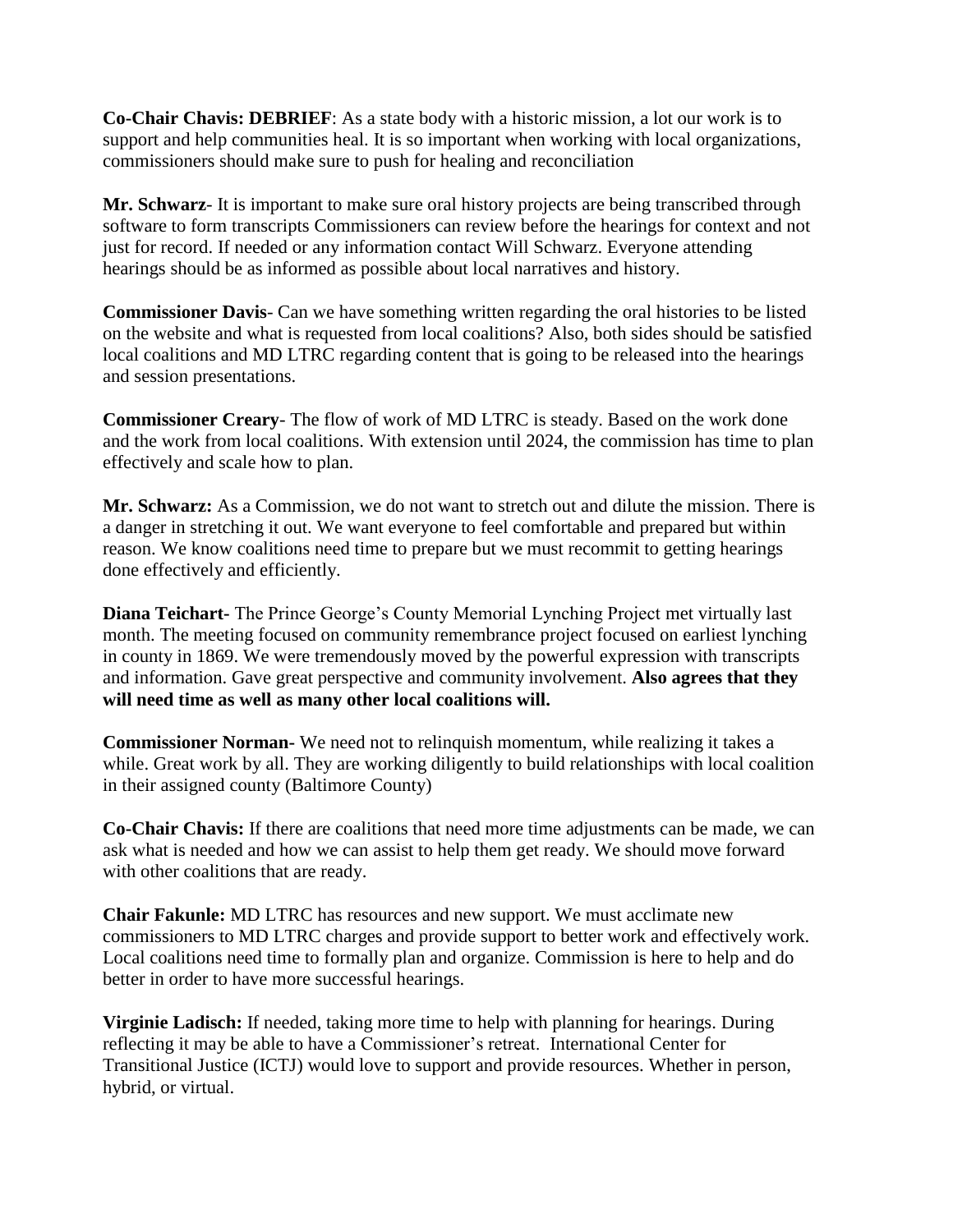**Co-Chair Chavis: DEBRIEF**: As a state body with a historic mission, a lot our work is to support and help communities heal. It is so important when working with local organizations, commissioners should make sure to push for healing and reconciliation

**Mr. Schwarz**- It is important to make sure oral history projects are being transcribed through software to form transcripts Commissioners can review before the hearings for context and not just for record. If needed or any information contact Will Schwarz. Everyone attending hearings should be as informed as possible about local narratives and history.

**Commissioner Davis**- Can we have something written regarding the oral histories to be listed on the website and what is requested from local coalitions? Also, both sides should be satisfied local coalitions and MD LTRC regarding content that is going to be released into the hearings and session presentations.

**Commissioner Creary**- The flow of work of MD LTRC is steady. Based on the work done and the work from local coalitions. With extension until 2024, the commission has time to plan effectively and scale how to plan.

**Mr. Schwarz:** As a Commission, we do not want to stretch out and dilute the mission. There is a danger in stretching it out. We want everyone to feel comfortable and prepared but within reason. We know coalitions need time to prepare but we must recommit to getting hearings done effectively and efficiently.

**Diana Teichart-** The Prince George's County Memorial Lynching Project met virtually last month. The meeting focused on community remembrance project focused on earliest lynching in county in 1869. We were tremendously moved by the powerful expression with transcripts and information. Gave great perspective and community involvement. **Also agrees that they will need time as well as many other local coalitions will.** 

**Commissioner Norman-** We need not to relinquish momentum, while realizing it takes a while. Great work by all. They are working diligently to build relationships with local coalition in their assigned county (Baltimore County)

**Co-Chair Chavis:** If there are coalitions that need more time adjustments can be made, we can ask what is needed and how we can assist to help them get ready. We should move forward with other coalitions that are ready.

**Chair Fakunle:** MD LTRC has resources and new support. We must acclimate new commissioners to MD LTRC charges and provide support to better work and effectively work. Local coalitions need time to formally plan and organize. Commission is here to help and do better in order to have more successful hearings.

**Virginie Ladisch:** If needed, taking more time to help with planning for hearings. During reflecting it may be able to have a Commissioner's retreat. International Center for Transitional Justice (ICTJ) would love to support and provide resources. Whether in person, hybrid, or virtual.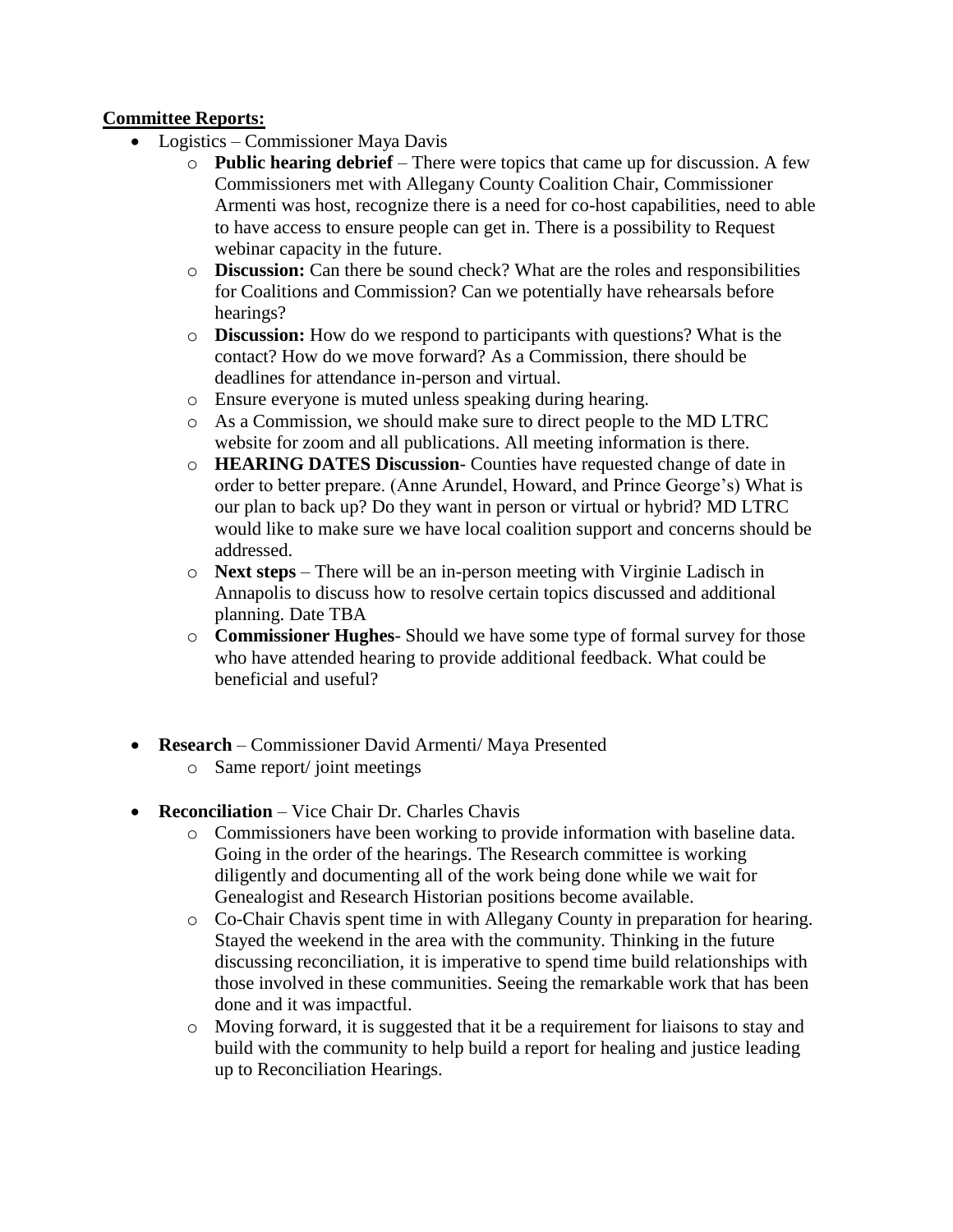# **Committee Reports:**

- Logistics Commissioner Maya Davis
	- o **Public hearing debrief** There were topics that came up for discussion. A few Commissioners met with Allegany County Coalition Chair, Commissioner Armenti was host, recognize there is a need for co-host capabilities, need to able to have access to ensure people can get in. There is a possibility to Request webinar capacity in the future.
	- o **Discussion:** Can there be sound check? What are the roles and responsibilities for Coalitions and Commission? Can we potentially have rehearsals before hearings?
	- o **Discussion:** How do we respond to participants with questions? What is the contact? How do we move forward? As a Commission, there should be deadlines for attendance in-person and virtual.
	- o Ensure everyone is muted unless speaking during hearing.
	- o As a Commission, we should make sure to direct people to the MD LTRC website for zoom and all publications. All meeting information is there.
	- o **HEARING DATES Discussion** Counties have requested change of date in order to better prepare. (Anne Arundel, Howard, and Prince George's) What is our plan to back up? Do they want in person or virtual or hybrid? MD LTRC would like to make sure we have local coalition support and concerns should be addressed.
	- o **Next steps** There will be an in-person meeting with Virginie Ladisch in Annapolis to discuss how to resolve certain topics discussed and additional planning. Date TBA
	- o **Commissioner Hughes** Should we have some type of formal survey for those who have attended hearing to provide additional feedback. What could be beneficial and useful?
- **Research**  Commissioner David Armenti/ Maya Presented
	- o Same report/ joint meetings
- **Reconciliation** Vice Chair Dr. Charles Chavis
	- o Commissioners have been working to provide information with baseline data. Going in the order of the hearings. The Research committee is working diligently and documenting all of the work being done while we wait for Genealogist and Research Historian positions become available.
	- o Co-Chair Chavis spent time in with Allegany County in preparation for hearing. Stayed the weekend in the area with the community. Thinking in the future discussing reconciliation, it is imperative to spend time build relationships with those involved in these communities. Seeing the remarkable work that has been done and it was impactful.
	- o Moving forward, it is suggested that it be a requirement for liaisons to stay and build with the community to help build a report for healing and justice leading up to Reconciliation Hearings.